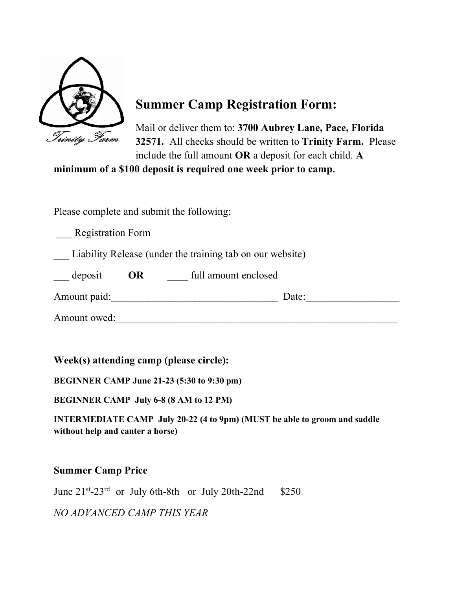

# **Summer Camp Registration Form:**

Mail or deliver them to: **3700 Aubrey Lane, Pace, Florida 32571.** All checks should be written to **Trinity Farm.** Please include the full amount **OR** a deposit for each child. **A** 

**minimum of a \$100 deposit is required one week prior to camp.**

Please complete and submit the following:

\_\_\_ Registration Form

Liability Release (under the training tab on our website)

| $\qquad$ deposit | OR | full amount enclosed |  |
|------------------|----|----------------------|--|
|                  |    |                      |  |

Amount paid: The Date: The Date: Amount owed:

**Week(s) attending camp (please circle):** 

**BEGINNER CAMP June 21-23 (5:30 to 9:30 pm)**

**BEGINNER CAMP July 6-8 (8 AM to 12 PM)** 

**INTERMEDIATE CAMP July 20-22 (4 to 9pm) (MUST be able to groom and saddle without help and canter a horse)**

## **Summer Camp Price**

June  $21^{st}$ -23<sup>rd</sup> or July 6th-8th or July 20th-22nd \$250 *NO ADVANCED CAMP THIS YEAR*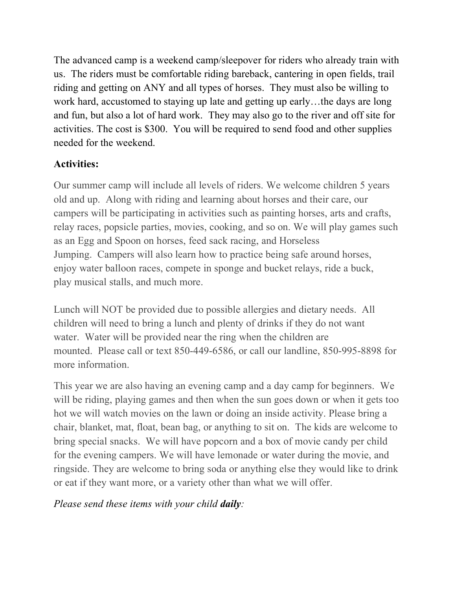The advanced camp is a weekend camp/sleepover for riders who already train with us. The riders must be comfortable riding bareback, cantering in open fields, trail riding and getting on ANY and all types of horses. They must also be willing to work hard, accustomed to staying up late and getting up early…the days are long and fun, but also a lot of hard work. They may also go to the river and off site for activities. The cost is \$300. You will be required to send food and other supplies needed for the weekend.

# **Activities:**

Our summer camp will include all levels of riders. We welcome children 5 years old and up. Along with riding and learning about horses and their care, our campers will be participating in activities such as painting horses, arts and crafts, relay races, popsicle parties, movies, cooking, and so on. We will play games such as an Egg and Spoon on horses, feed sack racing, and Horseless Jumping. Campers will also learn how to practice being safe around horses, enjoy water balloon races, compete in sponge and bucket relays, ride a buck, play musical stalls, and much more.

Lunch will NOT be provided due to possible allergies and dietary needs. All children will need to bring a lunch and plenty of drinks if they do not want water. Water will be provided near the ring when the children are mounted. Please call or text 850-449-6586, or call our landline, 850-995-8898 for more information.

This year we are also having an evening camp and a day camp for beginners. We will be riding, playing games and then when the sun goes down or when it gets too hot we will watch movies on the lawn or doing an inside activity. Please bring a chair, blanket, mat, float, bean bag, or anything to sit on. The kids are welcome to bring special snacks. We will have popcorn and a box of movie candy per child for the evening campers. We will have lemonade or water during the movie, and ringside. They are welcome to bring soda or anything else they would like to drink or eat if they want more, or a variety other than what we will offer.

## *Please send these items with your child daily:*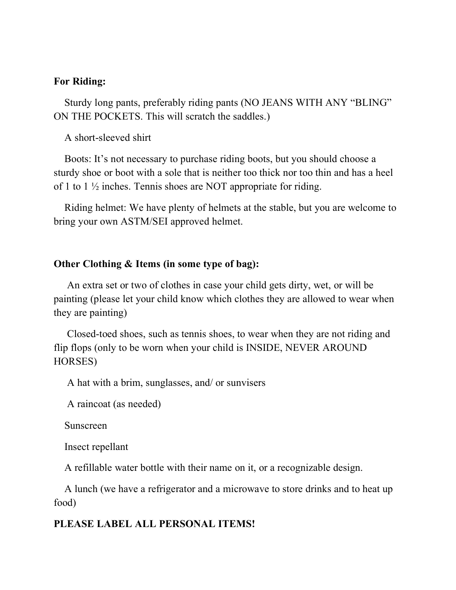#### **For Riding:**

 Sturdy long pants, preferably riding pants (NO JEANS WITH ANY "BLING" ON THE POCKETS. This will scratch the saddles.)

A short-sleeved shirt

 Boots: It's not necessary to purchase riding boots, but you should choose a sturdy shoe or boot with a sole that is neither too thick nor too thin and has a heel of 1 to 1 ½ inches. Tennis shoes are NOT appropriate for riding.

 Riding helmet: We have plenty of helmets at the stable, but you are welcome to bring your own ASTM/SEI approved helmet.

#### **Other Clothing & Items (in some type of bag):**

 An extra set or two of clothes in case your child gets dirty, wet, or will be painting (please let your child know which clothes they are allowed to wear when they are painting)

 Closed-toed shoes, such as tennis shoes, to wear when they are not riding and flip flops (only to be worn when your child is INSIDE, NEVER AROUND HORSES)

A hat with a brim, sunglasses, and/ or sunvisers

A raincoat (as needed)

Sunscreen

Insect repellant

A refillable water bottle with their name on it, or a recognizable design.

 A lunch (we have a refrigerator and a microwave to store drinks and to heat up food)

#### **PLEASE LABEL ALL PERSONAL ITEMS!**